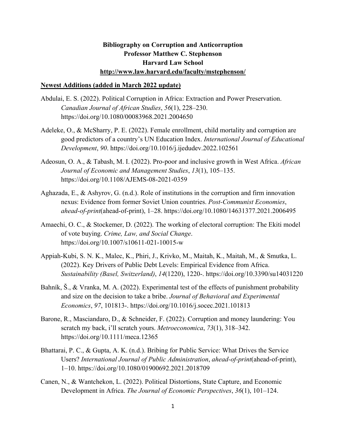## **Bibliography on Corruption and Anticorruption Professor Matthew C. Stephenson Harvard Law School http://www.law.harvard.edu/faculty/mstephenson/**

## **Newest Additions (added in March 2022 update)**

- Abdulai, E. S. (2022). Political Corruption in Africa: Extraction and Power Preservation. *Canadian Journal of African Studies*, *56*(1), 228–230. https://doi.org/10.1080/00083968.2021.2004650
- Adeleke, O., & McSharry, P. E. (2022). Female enrollment, child mortality and corruption are good predictors of a country's UN Education Index. *International Journal of Educational Development*, *90*. https://doi.org/10.1016/j.ijedudev.2022.102561
- Adeosun, O. A., & Tabash, M. I. (2022). Pro-poor and inclusive growth in West Africa. *African Journal of Economic and Management Studies*, *13*(1), 105–135. https://doi.org/10.1108/AJEMS-08-2021-0359
- Aghazada, E., & Ashyrov, G. (n.d.). Role of institutions in the corruption and firm innovation nexus: Evidence from former Soviet Union countries. *Post-Communist Economies*, *ahead-of-print*(ahead-of-print), 1–28. https://doi.org/10.1080/14631377.2021.2006495
- Amaechi, O. C., & Stockemer, D. (2022). The working of electoral corruption: The Ekiti model of vote buying. *Crime, Law, and Social Change*. https://doi.org/10.1007/s10611-021-10015-w
- Appiah-Kubi, S. N. K., Malec, K., Phiri, J., Krivko, M., Maitah, K., Maitah, M., & Smutka, L. (2022). Key Drivers of Public Debt Levels: Empirical Evidence from Africa. *Sustainability (Basel, Switzerland)*, *14*(1220), 1220-. https://doi.org/10.3390/su14031220
- Bahník, Š., & Vranka, M. A. (2022). Experimental test of the effects of punishment probability and size on the decision to take a bribe. *Journal of Behavioral and Experimental Economics*, *97*, 101813-. https://doi.org/10.1016/j.socec.2021.101813
- Barone, R., Masciandaro, D., & Schneider, F. (2022). Corruption and money laundering: You scratch my back, i'll scratch yours. *Metroeconomica*, *73*(1), 318–342. https://doi.org/10.1111/meca.12365
- Bhattarai, P. C., & Gupta, A. K. (n.d.). Bribing for Public Service: What Drives the Service Users? *International Journal of Public Administration*, *ahead-of-print*(ahead-of-print), 1–10. https://doi.org/10.1080/01900692.2021.2018709
- Canen, N., & Wantchekon, L. (2022). Political Distortions, State Capture, and Economic Development in Africa. *The Journal of Economic Perspectives*, *36*(1), 101–124.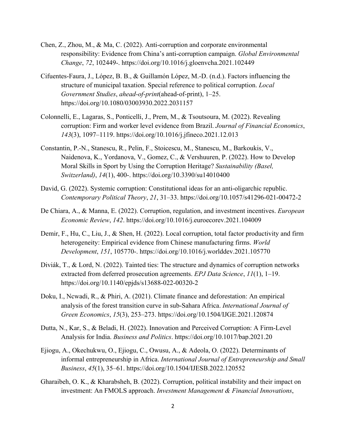- Chen, Z., Zhou, M., & Ma, C. (2022). Anti-corruption and corporate environmental responsibility: Evidence from China's anti-corruption campaign. *Global Environmental Change*, *72*, 102449-. https://doi.org/10.1016/j.gloenvcha.2021.102449
- Cifuentes-Faura, J., López, B. B., & Guillamón López, M.-D. (n.d.). Factors influencing the structure of municipal taxation. Special reference to political corruption. *Local Government Studies*, *ahead-of-print*(ahead-of-print), 1–25. https://doi.org/10.1080/03003930.2022.2031157
- Colonnelli, E., Lagaras, S., Ponticelli, J., Prem, M., & Tsoutsoura, M. (2022). Revealing corruption: Firm and worker level evidence from Brazil. *Journal of Financial Economics*, *143*(3), 1097–1119. https://doi.org/10.1016/j.jfineco.2021.12.013
- Constantin, P.-N., Stanescu, R., Pelin, F., Stoicescu, M., Stanescu, M., Barkoukis, V., Naidenova, K., Yordanova, V., Gomez, C., & Vershuuren, P. (2022). How to Develop Moral Skills in Sport by Using the Corruption Heritage? *Sustainability (Basel, Switzerland)*, *14*(1), 400-. https://doi.org/10.3390/su14010400
- David, G. (2022). Systemic corruption: Constitutional ideas for an anti-oligarchic republic. *Contemporary Political Theory*, *21*, 31–33. https://doi.org/10.1057/s41296-021-00472-2
- De Chiara, A., & Manna, E. (2022). Corruption, regulation, and investment incentives. *European Economic Review*, *142*. https://doi.org/10.1016/j.euroecorev.2021.104009
- Demir, F., Hu, C., Liu, J., & Shen, H. (2022). Local corruption, total factor productivity and firm heterogeneity: Empirical evidence from Chinese manufacturing firms. *World Development*, *151*, 105770-. https://doi.org/10.1016/j.worlddev.2021.105770
- Diviák, T., & Lord, N. (2022). Tainted ties: The structure and dynamics of corruption networks extracted from deferred prosecution agreements. *EPJ Data Science*, *11*(1), 1–19. https://doi.org/10.1140/epjds/s13688-022-00320-2
- Doku, I., Ncwadi, R., & Phiri, A. (2021). Climate finance and deforestation: An empirical analysis of the forest transition curve in sub-Sahara Africa. *International Journal of Green Economics*, *15*(3), 253–273. https://doi.org/10.1504/IJGE.2021.120874
- Dutta, N., Kar, S., & Beladi, H. (2022). Innovation and Perceived Corruption: A Firm-Level Analysis for India. *Business and Politics*. https://doi.org/10.1017/bap.2021.20
- Ejiogu, A., Okechukwu, O., Ejiogu, C., Owusu, A., & Adeola, O. (2022). Determinants of informal entrepreneurship in Africa. *International Journal of Entrepreneurship and Small Business*, *45*(1), 35–61. https://doi.org/10.1504/IJESB.2022.120552
- Gharaibeh, O. K., & Kharabsheh, B. (2022). Corruption, political instability and their impact on investment: An FMOLS approach. *Investment Management & Financial Innovations*,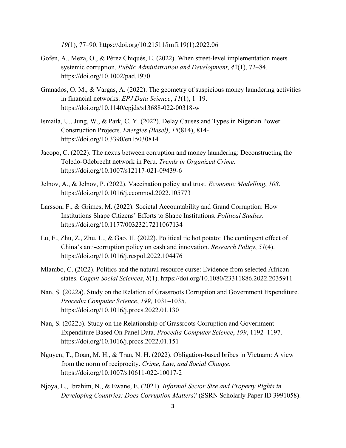*19*(1), 77–90. https://doi.org/10.21511/imfi.19(1).2022.06

- Gofen, A., Meza, O., & Pérez Chiqués, E. (2022). When street‐level implementation meets systemic corruption. *Public Administration and Development*, *42*(1), 72–84. https://doi.org/10.1002/pad.1970
- Granados, O. M., & Vargas, A. (2022). The geometry of suspicious money laundering activities in financial networks. *EPJ Data Science*, *11*(1), 1–19. https://doi.org/10.1140/epjds/s13688-022-00318-w
- Ismaila, U., Jung, W., & Park, C. Y. (2022). Delay Causes and Types in Nigerian Power Construction Projects. *Energies (Basel)*, *15*(814), 814-. https://doi.org/10.3390/en15030814
- Jacopo, C. (2022). The nexus between corruption and money laundering: Deconstructing the Toledo-Odebrecht network in Peru. *Trends in Organized Crime*. https://doi.org/10.1007/s12117-021-09439-6
- Jelnov, A., & Jelnov, P. (2022). Vaccination policy and trust. *Economic Modelling*, *108*. https://doi.org/10.1016/j.econmod.2022.105773
- Larsson, F., & Grimes, M. (2022). Societal Accountability and Grand Corruption: How Institutions Shape Citizens' Efforts to Shape Institutions. *Political Studies*. https://doi.org/10.1177/00323217211067134
- Lu, F., Zhu, Z., Zhu, L., & Gao, H. (2022). Political tie hot potato: The contingent effect of China's anti-corruption policy on cash and innovation. *Research Policy*, *51*(4). https://doi.org/10.1016/j.respol.2022.104476
- Mlambo, C. (2022). Politics and the natural resource curse: Evidence from selected African states. *Cogent Social Sciences*, *8*(1). https://doi.org/10.1080/23311886.2022.2035911
- Nan, S. (2022a). Study on the Relation of Grassroots Corruption and Government Expenditure. *Procedia Computer Science*, *199*, 1031–1035. https://doi.org/10.1016/j.procs.2022.01.130
- Nan, S. (2022b). Study on the Relationship of Grassroots Corruption and Government Expenditure Based On Panel Data. *Procedia Computer Science*, *199*, 1192–1197. https://doi.org/10.1016/j.procs.2022.01.151
- Nguyen, T., Doan, M. H., & Tran, N. H. (2022). Obligation-based bribes in Vietnam: A view from the norm of reciprocity. *Crime, Law, and Social Change*. https://doi.org/10.1007/s10611-022-10017-2
- Njoya, L., Ibrahim, N., & Ewane, E. (2021). *Informal Sector Size and Property Rights in Developing Countries: Does Corruption Matters?* (SSRN Scholarly Paper ID 3991058).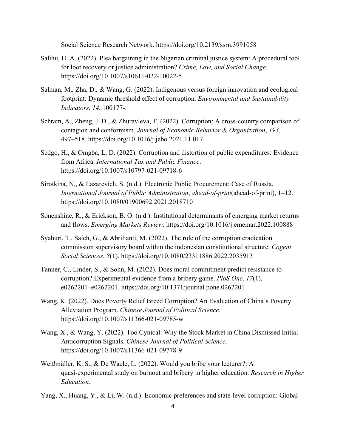Social Science Research Network. https://doi.org/10.2139/ssrn.3991058

- Salihu, H. A. (2022). Plea bargaining in the Nigerian criminal justice system: A procedural tool for loot recovery or justice administration? *Crime, Law, and Social Change*. https://doi.org/10.1007/s10611-022-10022-5
- Salman, M., Zha, D., & Wang, G. (2022). Indigenous versus foreign innovation and ecological footprint: Dynamic threshold effect of corruption. *Environmental and Sustainability Indicators*, *14*, 100177-.
- Schram, A., Zheng, J. D., & Zhuravleva, T. (2022). Corruption: A cross-country comparison of contagion and conformism. *Journal of Economic Behavior & Organization*, *193*, 497–518. https://doi.org/10.1016/j.jebo.2021.11.017
- Sedgo, H., & Omgba, L. D. (2022). Corruption and distortion of public expenditures: Evidence from Africa. *International Tax and Public Finance*. https://doi.org/10.1007/s10797-021-09718-6
- Sirotkina, N., & Lazarevich, S. (n.d.). Electronic Public Procurement: Case of Russia. *International Journal of Public Administration*, *ahead-of-print*(ahead-of-print), 1–12. https://doi.org/10.1080/01900692.2021.2018710
- Sonenshine, R., & Erickson, B. O. (n.d.). Institutional determinants of emerging market returns and flows. *Emerging Markets Review*. https://doi.org/10.1016/j.ememar.2022.100888
- Syahuri, T., Saleh, G., & Abrilianti, M. (2022). The role of the corruption eradication commission supervisory board within the indonesian constitutional structure. *Cogent Social Sciences*, *8*(1). https://doi.org/10.1080/23311886.2022.2035913
- Tanner, C., Linder, S., & Sohn, M. (2022). Does moral commitment predict resistance to corruption? Experimental evidence from a bribery game. *PloS One*, *17*(1), e0262201–e0262201. https://doi.org/10.1371/journal.pone.0262201
- Wang, K. (2022). Does Poverty Relief Breed Corruption? An Evaluation of China's Poverty Alleviation Program. *Chinese Journal of Political Science*. https://doi.org/10.1007/s11366-021-09785-w
- Wang, X., & Wang, Y. (2022). Too Cynical: Why the Stock Market in China Dismissed Initial Anticorruption Signals. *Chinese Journal of Political Science*. https://doi.org/10.1007/s11366-021-09778-9
- Weißmüller, K. S., & De Waele, L. (2022). Would you bribe your lecturer?: A quasi-experimental study on burnout and bribery in higher education. *Research in Higher Education*.
- Yang, X., Huang, Y., & Li, W. (n.d.). Economic preferences and state-level corruption: Global